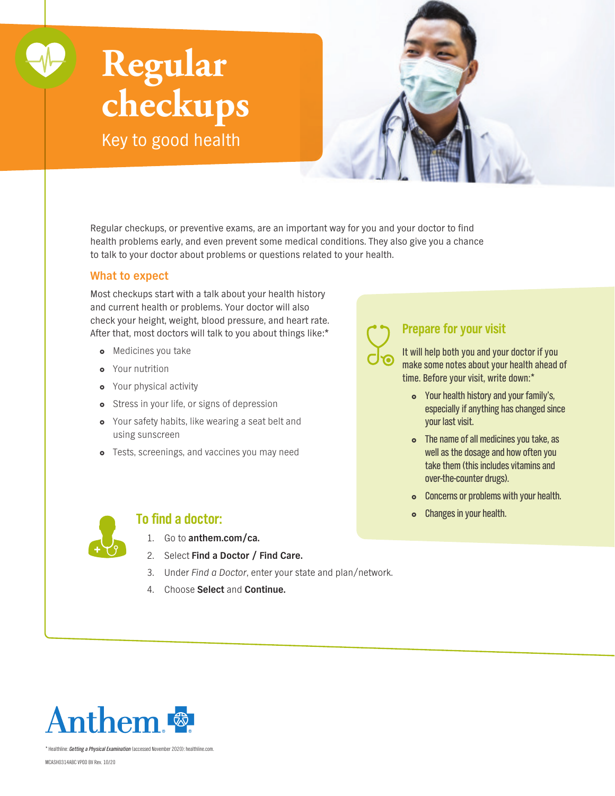# **Regular checkups**

Key to good health



Regular checkups, or preventive exams, are an important way for you and your doctor to find health problems early, and even prevent some medical conditions. They also give you a chance to talk to your doctor about problems or questions related to your health.

#### **What to expect**

Most checkups start with a talk about your health history and current health or problems. Your doctor will also check your height, weight, blood pressure, and heart rate. After that, most doctors will talk to you about things like:\*

- **o** Medicines you take
- Your nutrition
- **•** Your physical activity
- o Stress in your life, or signs of depression
- Your safety habits, like wearing a seat belt and using sunscreen
- **o** Tests, screenings, and vaccines you may need

## **Prepare for your visit**

It will help both you and your doctor if you make some notes about your health ahead of time. Before your visit, write down:\*

- Your health history and your family's, especially if anything has changed since your last visit.
- The name of all medicines you take, as well as the dosage and how often you take them (this includes vitamins and over-the-counter drugs).
- Concerns or problems with your health.
- **o** Changes in your health.



### **To find a doctor:**

- 1. Go to **[anthem.com/ca](http://anthem.com/ca).**
- 2. Select **Find a Doctor / Find Care.**
- 3. Under Find a Doctor, enter your state and plan/network.
- 4. Choose **Select** and **Continue.**



\* Healthline: *Getting a Physical Examination* (accessed November 2020): healthline.com.